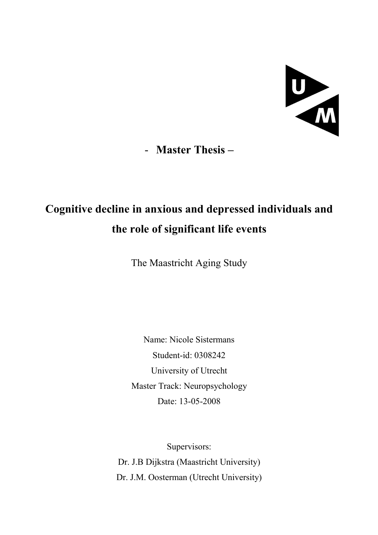

- Master Thesis –

# Cognitive decline in anxious and depressed individuals and the role of significant life events

The Maastricht Aging Study

Name: Nicole Sistermans Student-id: 0308242 University of Utrecht Master Track: Neuropsychology Date: 13-05-2008

Supervisors: Dr. J.B Dijkstra (Maastricht University) Dr. J.M. Oosterman (Utrecht University)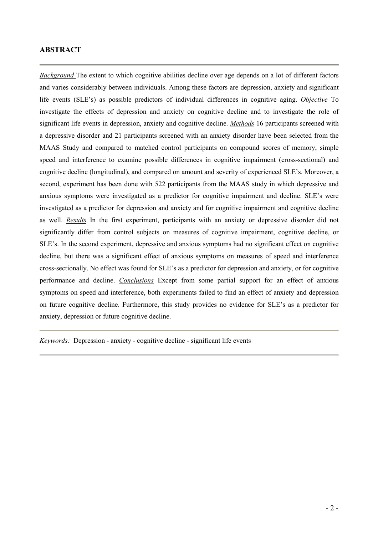# ABSTRACT

Background The extent to which cognitive abilities decline over age depends on a lot of different factors and varies considerably between individuals. Among these factors are depression, anxiety and significant life events (SLE's) as possible predictors of individual differences in cognitive aging. Objective To investigate the effects of depression and anxiety on cognitive decline and to investigate the role of significant life events in depression, anxiety and cognitive decline. Methods 16 participants screened with a depressive disorder and 21 participants screened with an anxiety disorder have been selected from the MAAS Study and compared to matched control participants on compound scores of memory, simple speed and interference to examine possible differences in cognitive impairment (cross-sectional) and cognitive decline (longitudinal), and compared on amount and severity of experienced SLE's. Moreover, a second, experiment has been done with 522 participants from the MAAS study in which depressive and anxious symptoms were investigated as a predictor for cognitive impairment and decline. SLE's were investigated as a predictor for depression and anxiety and for cognitive impairment and cognitive decline as well. Results In the first experiment, participants with an anxiety or depressive disorder did not significantly differ from control subjects on measures of cognitive impairment, cognitive decline, or SLE's. In the second experiment, depressive and anxious symptoms had no significant effect on cognitive decline, but there was a significant effect of anxious symptoms on measures of speed and interference cross-sectionally. No effect was found for SLE's as a predictor for depression and anxiety, or for cognitive performance and decline. Conclusions Except from some partial support for an effect of anxious symptoms on speed and interference, both experiments failed to find an effect of anxiety and depression on future cognitive decline. Furthermore, this study provides no evidence for SLE's as a predictor for anxiety, depression or future cognitive decline.

Keywords: Depression - anxiety - cognitive decline - significant life events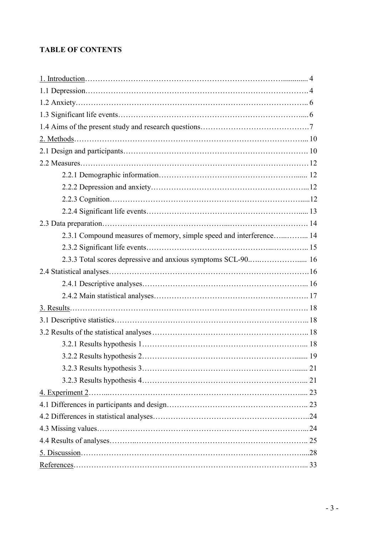# TABLE OF CONTENTS

| 2.3.1 Compound measures of memory, simple speed and interference 14                           |  |
|-----------------------------------------------------------------------------------------------|--|
|                                                                                               |  |
| 2.3.3 Total scores depressive and anxious symptoms SCL-90 16                                  |  |
|                                                                                               |  |
|                                                                                               |  |
|                                                                                               |  |
|                                                                                               |  |
|                                                                                               |  |
|                                                                                               |  |
|                                                                                               |  |
|                                                                                               |  |
|                                                                                               |  |
|                                                                                               |  |
|                                                                                               |  |
|                                                                                               |  |
|                                                                                               |  |
|                                                                                               |  |
|                                                                                               |  |
|                                                                                               |  |
| $References 33 33 34 35 36 37 38 39 30 30 31 32 33 34 35 36 37 38 39 30 30 30 31 32 33 34 35$ |  |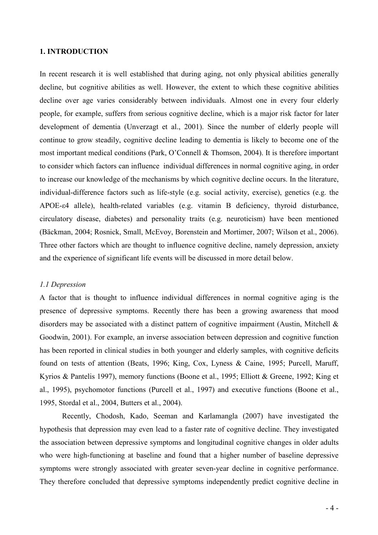# 1. INTRODUCTION

In recent research it is well established that during aging, not only physical abilities generally decline, but cognitive abilities as well. However, the extent to which these cognitive abilities decline over age varies considerably between individuals. Almost one in every four elderly people, for example, suffers from serious cognitive decline, which is a major risk factor for later development of dementia (Unverzagt et al., 2001). Since the number of elderly people will continue to grow steadily, cognitive decline leading to dementia is likely to become one of the most important medical conditions (Park, O'Connell & Thomson, 2004). It is therefore important to consider which factors can influence individual differences in normal cognitive aging, in order to increase our knowledge of the mechanisms by which cognitive decline occurs. In the literature, individual-difference factors such as life-style (e.g. social activity, exercise), genetics (e.g. the APOE-ε4 allele), health-related variables (e.g. vitamin B deficiency, thyroid disturbance, circulatory disease, diabetes) and personality traits (e.g. neuroticism) have been mentioned (Bäckman, 2004; Rosnick, Small, McEvoy, Borenstein and Mortimer, 2007; Wilson et al., 2006). Three other factors which are thought to influence cognitive decline, namely depression, anxiety and the experience of significant life events will be discussed in more detail below.

# 1.1 Depression

A factor that is thought to influence individual differences in normal cognitive aging is the presence of depressive symptoms. Recently there has been a growing awareness that mood disorders may be associated with a distinct pattern of cognitive impairment (Austin, Mitchell & Goodwin, 2001). For example, an inverse association between depression and cognitive function has been reported in clinical studies in both younger and elderly samples, with cognitive deficits found on tests of attention (Beats, 1996; King, Cox, Lyness & Caine, 1995; Purcell, Maruff, Kyrios & Pantelis 1997), memory functions (Boone et al., 1995; Elliott & Greene, 1992; King et al., 1995), psychomotor functions (Purcell et al., 1997) and executive functions (Boone et al., 1995, Stordal et al., 2004, Butters et al., 2004).

Recently, Chodosh, Kado, Seeman and Karlamangla (2007) have investigated the hypothesis that depression may even lead to a faster rate of cognitive decline. They investigated the association between depressive symptoms and longitudinal cognitive changes in older adults who were high-functioning at baseline and found that a higher number of baseline depressive symptoms were strongly associated with greater seven-year decline in cognitive performance. They therefore concluded that depressive symptoms independently predict cognitive decline in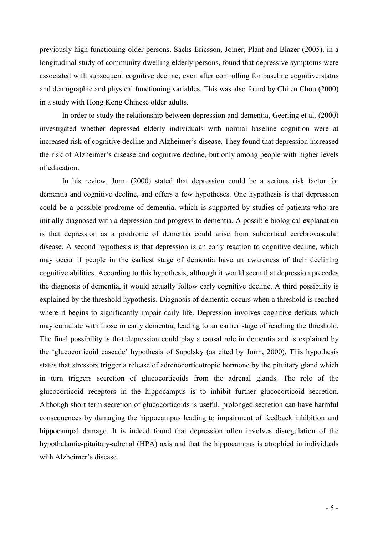previously high-functioning older persons. Sachs-Ericsson, Joiner, Plant and Blazer (2005), in a longitudinal study of community-dwelling elderly persons, found that depressive symptoms were associated with subsequent cognitive decline, even after controlling for baseline cognitive status and demographic and physical functioning variables. This was also found by Chi en Chou (2000) in a study with Hong Kong Chinese older adults.

In order to study the relationship between depression and dementia, Geerling et al. (2000) investigated whether depressed elderly individuals with normal baseline cognition were at increased risk of cognitive decline and Alzheimer's disease. They found that depression increased the risk of Alzheimer's disease and cognitive decline, but only among people with higher levels of education.

In his review, Jorm (2000) stated that depression could be a serious risk factor for dementia and cognitive decline, and offers a few hypotheses. One hypothesis is that depression could be a possible prodrome of dementia, which is supported by studies of patients who are initially diagnosed with a depression and progress to dementia. A possible biological explanation is that depression as a prodrome of dementia could arise from subcortical cerebrovascular disease. A second hypothesis is that depression is an early reaction to cognitive decline, which may occur if people in the earliest stage of dementia have an awareness of their declining cognitive abilities. According to this hypothesis, although it would seem that depression precedes the diagnosis of dementia, it would actually follow early cognitive decline. A third possibility is explained by the threshold hypothesis. Diagnosis of dementia occurs when a threshold is reached where it begins to significantly impair daily life. Depression involves cognitive deficits which may cumulate with those in early dementia, leading to an earlier stage of reaching the threshold. The final possibility is that depression could play a causal role in dementia and is explained by the 'glucocorticoid cascade' hypothesis of Sapolsky (as cited by Jorm, 2000). This hypothesis states that stressors trigger a release of adrenocorticotropic hormone by the pituitary gland which in turn triggers secretion of glucocorticoids from the adrenal glands. The role of the glucocorticoid receptors in the hippocampus is to inhibit further glucocorticoid secretion. Although short term secretion of glucocorticoids is useful, prolonged secretion can have harmful consequences by damaging the hippocampus leading to impairment of feedback inhibition and hippocampal damage. It is indeed found that depression often involves disregulation of the hypothalamic-pituitary-adrenal (HPA) axis and that the hippocampus is atrophied in individuals with Alzheimer's disease.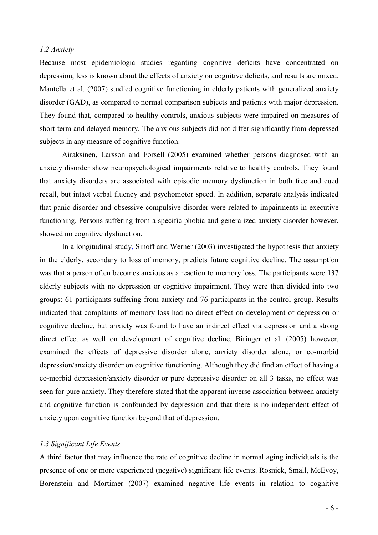## 1.2 Anxiety

Because most epidemiologic studies regarding cognitive deficits have concentrated on depression, less is known about the effects of anxiety on cognitive deficits, and results are mixed. Mantella et al. (2007) studied cognitive functioning in elderly patients with generalized anxiety disorder (GAD), as compared to normal comparison subjects and patients with major depression. They found that, compared to healthy controls, anxious subjects were impaired on measures of short-term and delayed memory. The anxious subjects did not differ significantly from depressed subjects in any measure of cognitive function.

Airaksinen, Larsson and Forsell (2005) examined whether persons diagnosed with an anxiety disorder show neuropsychological impairments relative to healthy controls. They found that anxiety disorders are associated with episodic memory dysfunction in both free and cued recall, but intact verbal fluency and psychomotor speed. In addition, separate analysis indicated that panic disorder and obsessive-compulsive disorder were related to impairments in executive functioning. Persons suffering from a specific phobia and generalized anxiety disorder however, showed no cognitive dysfunction.

In a longitudinal study, Sinoff and Werner (2003) investigated the hypothesis that anxiety in the elderly, secondary to loss of memory, predicts future cognitive decline. The assumption was that a person often becomes anxious as a reaction to memory loss. The participants were 137 elderly subjects with no depression or cognitive impairment. They were then divided into two groups: 61 participants suffering from anxiety and 76 participants in the control group. Results indicated that complaints of memory loss had no direct effect on development of depression or cognitive decline, but anxiety was found to have an indirect effect via depression and a strong direct effect as well on development of cognitive decline. Biringer et al. (2005) however, examined the effects of depressive disorder alone, anxiety disorder alone, or co-morbid depression/anxiety disorder on cognitive functioning. Although they did find an effect of having a co-morbid depression/anxiety disorder or pure depressive disorder on all 3 tasks, no effect was seen for pure anxiety. They therefore stated that the apparent inverse association between anxiety and cognitive function is confounded by depression and that there is no independent effect of anxiety upon cognitive function beyond that of depression.

#### 1.3 Significant Life Events

A third factor that may influence the rate of cognitive decline in normal aging individuals is the presence of one or more experienced (negative) significant life events. Rosnick, Small, McEvoy, Borenstein and Mortimer (2007) examined negative life events in relation to cognitive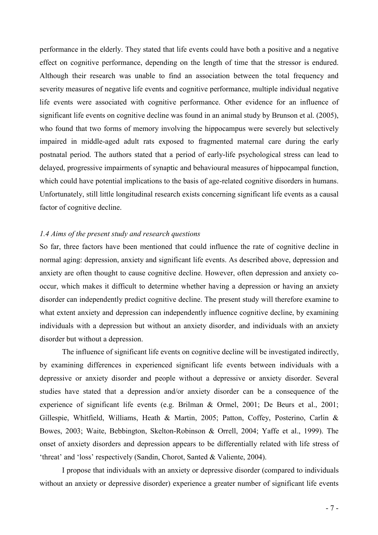performance in the elderly. They stated that life events could have both a positive and a negative effect on cognitive performance, depending on the length of time that the stressor is endured. Although their research was unable to find an association between the total frequency and severity measures of negative life events and cognitive performance, multiple individual negative life events were associated with cognitive performance. Other evidence for an influence of significant life events on cognitive decline was found in an animal study by Brunson et al. (2005), who found that two forms of memory involving the hippocampus were severely but selectively impaired in middle-aged adult rats exposed to fragmented maternal care during the early postnatal period. The authors stated that a period of early-life psychological stress can lead to delayed, progressive impairments of synaptic and behavioural measures of hippocampal function, which could have potential implications to the basis of age-related cognitive disorders in humans. Unfortunately, still little longitudinal research exists concerning significant life events as a causal factor of cognitive decline.

# 1.4 Aims of the present study and research questions

So far, three factors have been mentioned that could influence the rate of cognitive decline in normal aging: depression, anxiety and significant life events. As described above, depression and anxiety are often thought to cause cognitive decline. However, often depression and anxiety cooccur, which makes it difficult to determine whether having a depression or having an anxiety disorder can independently predict cognitive decline. The present study will therefore examine to what extent anxiety and depression can independently influence cognitive decline, by examining individuals with a depression but without an anxiety disorder, and individuals with an anxiety disorder but without a depression.

The influence of significant life events on cognitive decline will be investigated indirectly, by examining differences in experienced significant life events between individuals with a depressive or anxiety disorder and people without a depressive or anxiety disorder. Several studies have stated that a depression and/or anxiety disorder can be a consequence of the experience of significant life events (e.g. Brilman & Ormel, 2001; De Beurs et al., 2001; Gillespie, Whitfield, Williams, Heath & Martin, 2005; Patton, Coffey, Posterino, Carlin & Bowes, 2003; Waite, Bebbington, Skelton-Robinson & Orrell, 2004; Yaffe et al., 1999). The onset of anxiety disorders and depression appears to be differentially related with life stress of 'threat' and 'loss' respectively (Sandin, Chorot, Santed & Valiente, 2004).

I propose that individuals with an anxiety or depressive disorder (compared to individuals without an anxiety or depressive disorder) experience a greater number of significant life events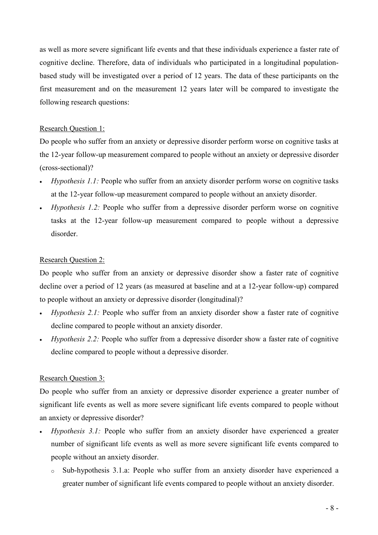as well as more severe significant life events and that these individuals experience a faster rate of cognitive decline. Therefore, data of individuals who participated in a longitudinal populationbased study will be investigated over a period of 12 years. The data of these participants on the first measurement and on the measurement 12 years later will be compared to investigate the following research questions:

# Research Question 1:

Do people who suffer from an anxiety or depressive disorder perform worse on cognitive tasks at the 12-year follow-up measurement compared to people without an anxiety or depressive disorder (cross-sectional)?

- Hypothesis 1.1: People who suffer from an anxiety disorder perform worse on cognitive tasks at the 12-year follow-up measurement compared to people without an anxiety disorder.
- Hypothesis 1.2: People who suffer from a depressive disorder perform worse on cognitive tasks at the 12-year follow-up measurement compared to people without a depressive disorder.

# Research Question 2:

Do people who suffer from an anxiety or depressive disorder show a faster rate of cognitive decline over a period of 12 years (as measured at baseline and at a 12-year follow-up) compared to people without an anxiety or depressive disorder (longitudinal)?

- Hypothesis 2.1: People who suffer from an anxiety disorder show a faster rate of cognitive decline compared to people without an anxiety disorder.
- Hypothesis 2.2: People who suffer from a depressive disorder show a faster rate of cognitive decline compared to people without a depressive disorder.

# Research Question 3:

Do people who suffer from an anxiety or depressive disorder experience a greater number of significant life events as well as more severe significant life events compared to people without an anxiety or depressive disorder?

- Hypothesis 3.1: People who suffer from an anxiety disorder have experienced a greater number of significant life events as well as more severe significant life events compared to people without an anxiety disorder.
	- o Sub-hypothesis 3.1.a: People who suffer from an anxiety disorder have experienced a greater number of significant life events compared to people without an anxiety disorder.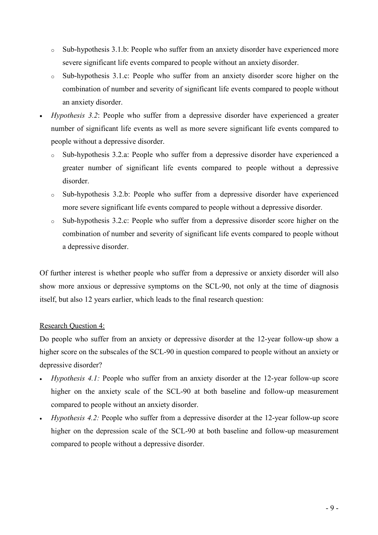- o Sub-hypothesis 3.1.b: People who suffer from an anxiety disorder have experienced more severe significant life events compared to people without an anxiety disorder.
- o Sub-hypothesis 3.1.c: People who suffer from an anxiety disorder score higher on the combination of number and severity of significant life events compared to people without an anxiety disorder.
- Hypothesis 3.2: People who suffer from a depressive disorder have experienced a greater number of significant life events as well as more severe significant life events compared to people without a depressive disorder.
	- Sub-hypothesis 3.2.a: People who suffer from a depressive disorder have experienced a greater number of significant life events compared to people without a depressive disorder.
	- o Sub-hypothesis 3.2.b: People who suffer from a depressive disorder have experienced more severe significant life events compared to people without a depressive disorder.
	- o Sub-hypothesis 3.2.c: People who suffer from a depressive disorder score higher on the combination of number and severity of significant life events compared to people without a depressive disorder.

Of further interest is whether people who suffer from a depressive or anxiety disorder will also show more anxious or depressive symptoms on the SCL-90, not only at the time of diagnosis itself, but also 12 years earlier, which leads to the final research question:

# Research Question 4:

Do people who suffer from an anxiety or depressive disorder at the 12-year follow-up show a higher score on the subscales of the SCL-90 in question compared to people without an anxiety or depressive disorder?

- Hypothesis 4.1: People who suffer from an anxiety disorder at the 12-year follow-up score higher on the anxiety scale of the SCL-90 at both baseline and follow-up measurement compared to people without an anxiety disorder.
- Hypothesis 4.2: People who suffer from a depressive disorder at the 12-year follow-up score higher on the depression scale of the SCL-90 at both baseline and follow-up measurement compared to people without a depressive disorder.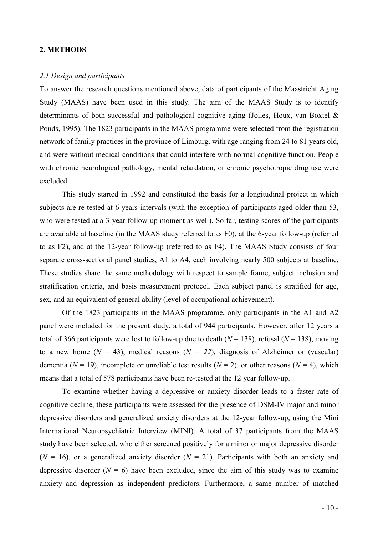# 2. METHODS

#### 2.1 Design and participants

To answer the research questions mentioned above, data of participants of the Maastricht Aging Study (MAAS) have been used in this study. The aim of the MAAS Study is to identify determinants of both successful and pathological cognitive aging (Jolles, Houx, van Boxtel & Ponds, 1995). The 1823 participants in the MAAS programme were selected from the registration network of family practices in the province of Limburg, with age ranging from 24 to 81 years old, and were without medical conditions that could interfere with normal cognitive function. People with chronic neurological pathology, mental retardation, or chronic psychotropic drug use were excluded.

This study started in 1992 and constituted the basis for a longitudinal project in which subjects are re-tested at 6 years intervals (with the exception of participants aged older than 53, who were tested at a 3-year follow-up moment as well). So far, testing scores of the participants are available at baseline (in the MAAS study referred to as F0), at the 6-year follow-up (referred to as F2), and at the 12-year follow-up (referred to as F4). The MAAS Study consists of four separate cross-sectional panel studies, A1 to A4, each involving nearly 500 subjects at baseline. These studies share the same methodology with respect to sample frame, subject inclusion and stratification criteria, and basis measurement protocol. Each subject panel is stratified for age, sex, and an equivalent of general ability (level of occupational achievement).

Of the 1823 participants in the MAAS programme, only participants in the A1 and A2 panel were included for the present study, a total of 944 participants. However, after 12 years a total of 366 participants were lost to follow-up due to death ( $N = 138$ ), refusal ( $N = 138$ ), moving to a new home ( $N = 43$ ), medical reasons ( $N = 22$ ), diagnosis of Alzheimer or (vascular) dementia ( $N = 19$ ), incomplete or unreliable test results ( $N = 2$ ), or other reasons ( $N = 4$ ), which means that a total of 578 participants have been re-tested at the 12 year follow-up.

To examine whether having a depressive or anxiety disorder leads to a faster rate of cognitive decline, these participants were assessed for the presence of DSM-IV major and minor depressive disorders and generalized anxiety disorders at the 12-year follow-up, using the Mini International Neuropsychiatric Interview (MINI). A total of 37 participants from the MAAS study have been selected, who either screened positively for a minor or major depressive disorder  $(N = 16)$ , or a generalized anxiety disorder  $(N = 21)$ . Participants with both an anxiety and depressive disorder ( $N = 6$ ) have been excluded, since the aim of this study was to examine anxiety and depression as independent predictors. Furthermore, a same number of matched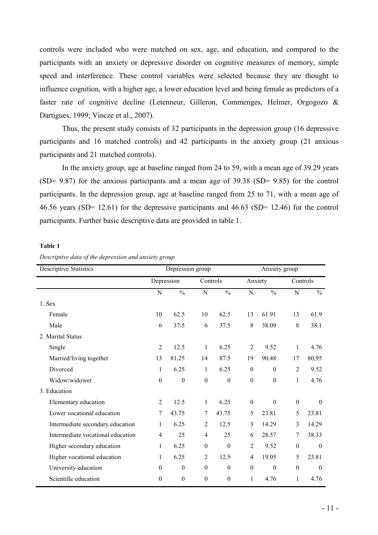controls were included who were matched on sex, age, and education, and compared to the participants with an anxiety or depressive disorder on cognitive measures of memory, simple speed and interference. These control variables were selected because they are thought to influence cognition, with a higher age, a lower education level and being female as predictors of a faster rate of cognitive decline (Letenneur, Gilleron, Commenges, Helmer, Orgogozo & Dartigues, 1999; Vincze et al., 2007).

Thus, the present study consists of 32 participants in the depression group (16 depressive participants and 16 matched controls) and 42 participants in the anxiety group (21 anxious participants and 21 matched controls).

In the anxiety group, age at baseline ranged from 24 to 59, with a mean age of 39.29 years (SD= 9.87) for the anxious participants and a mean age of 39.38 (SD= 9.85) for the control participants. In the depression group, age at baseline ranged from 25 to 71, with a mean age of 46.56 years (SD= 12.61) for the depressive participants and 46.63 (SD= 12.46) for the control participants. Further basic descriptive data are provided in table 1.

#### Table 1

Descriptive data of the depression and anxiety group

| <b>Descriptive Statistics</b>     | Depression group |                  |                  |                  |                  |                  | Anxiety group    |                  |  |
|-----------------------------------|------------------|------------------|------------------|------------------|------------------|------------------|------------------|------------------|--|
|                                   | Depression       |                  |                  | Controls         |                  | Anxiety          |                  | Controls         |  |
|                                   | $\mathbf N$      | $\frac{0}{0}$    | $\mathbf N$      | $\frac{0}{0}$    | $\mathbf N$      | $\frac{0}{0}$    | $\mathbf N$      | $\frac{0}{0}$    |  |
| 1. Sex                            |                  |                  |                  |                  |                  |                  |                  |                  |  |
| Female                            | 10               | 62.5             | 10               | 62.5             | 13               | 61.91            | 13               | 61.9             |  |
| Male                              | 6                | 37.5             | 6                | 37.5             | 8                | 38.09            | 8                | 38.1             |  |
| 2. Marital Status                 |                  |                  |                  |                  |                  |                  |                  |                  |  |
| Single                            | $\overline{2}$   | 12.5             | $\mathbf{1}$     | 6.25             | $\overline{2}$   | 9.52             | $\mathbf{1}$     | 4.76             |  |
| Married/living together           | 13               | 81.25            | 14               | 87.5             | 19               | 90.48            | 17               | 80,95            |  |
| Divorced                          | 1                | 6.25             | 1                | 6.25             | $\boldsymbol{0}$ | $\boldsymbol{0}$ | $\overline{2}$   | 9.52             |  |
| Widow/widower                     | $\boldsymbol{0}$ | $\boldsymbol{0}$ | $\boldsymbol{0}$ | $\boldsymbol{0}$ | $\boldsymbol{0}$ | $\boldsymbol{0}$ | $\mathbf{1}$     | 4.76             |  |
| 3. Education                      |                  |                  |                  |                  |                  |                  |                  |                  |  |
| Elementary education              | $\overline{2}$   | 12.5             | $\mathbf{1}$     | 6.25             | $\boldsymbol{0}$ | $\boldsymbol{0}$ | $\boldsymbol{0}$ | $\theta$         |  |
| Lower vocational education        | 7                | 43.75            | $\tau$           | 43.75            | 5                | 23.81            | 5                | 23.81            |  |
| Intermediate secondary education  | $\mathbf{1}$     | 6.25             | $\overline{2}$   | 12.5             | 3                | 14.29            | 3                | 14.29            |  |
| Intermediate vocational education | $\overline{4}$   | 25               | $\overline{4}$   | 25               | 6                | 28.57            | 7                | 38.33            |  |
| Higher secondary education        | 1                | 6.25             | $\boldsymbol{0}$ | $\boldsymbol{0}$ | $\overline{2}$   | 9.52             | $\boldsymbol{0}$ | $\boldsymbol{0}$ |  |
| Higher vocational education       | 1                | 6.25             | $\overline{2}$   | 12.5             | $\overline{4}$   | 19.05            | 5                | 23.81            |  |
| University education              | $\mathbf{0}$     | $\mathbf{0}$     | $\boldsymbol{0}$ | $\mathbf{0}$     | $\boldsymbol{0}$ | $\boldsymbol{0}$ | $\boldsymbol{0}$ | $\theta$         |  |
| Scientific education              | $\mathbf{0}$     | $\boldsymbol{0}$ | $\boldsymbol{0}$ | $\boldsymbol{0}$ | 1                | 4.76             | 1                | 4.76             |  |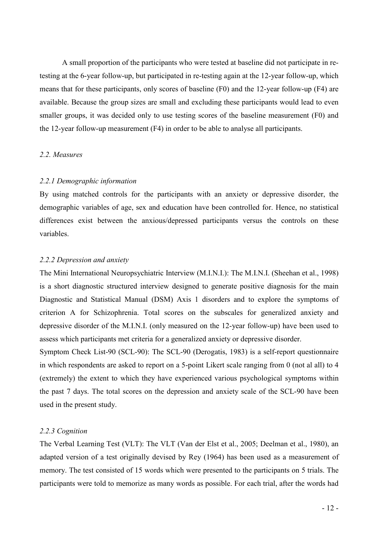A small proportion of the participants who were tested at baseline did not participate in retesting at the 6-year follow-up, but participated in re-testing again at the 12-year follow-up, which means that for these participants, only scores of baseline (F0) and the 12-year follow-up (F4) are available. Because the group sizes are small and excluding these participants would lead to even smaller groups, it was decided only to use testing scores of the baseline measurement (F0) and the 12-year follow-up measurement (F4) in order to be able to analyse all participants.

# 2.2. Measures

# 2.2.1 Demographic information

By using matched controls for the participants with an anxiety or depressive disorder, the demographic variables of age, sex and education have been controlled for. Hence, no statistical differences exist between the anxious/depressed participants versus the controls on these variables.

# 2.2.2 Depression and anxiety

The Mini International Neuropsychiatric Interview (M.I.N.I.): The M.I.N.I. (Sheehan et al., 1998) is a short diagnostic structured interview designed to generate positive diagnosis for the main Diagnostic and Statistical Manual (DSM) Axis 1 disorders and to explore the symptoms of criterion A for Schizophrenia. Total scores on the subscales for generalized anxiety and depressive disorder of the M.I.N.I. (only measured on the 12-year follow-up) have been used to assess which participants met criteria for a generalized anxiety or depressive disorder.

Symptom Check List-90 (SCL-90): The SCL-90 (Derogatis, 1983) is a self-report questionnaire in which respondents are asked to report on a 5-point Likert scale ranging from 0 (not al all) to 4 (extremely) the extent to which they have experienced various psychological symptoms within the past 7 days. The total scores on the depression and anxiety scale of the SCL-90 have been used in the present study.

# 2.2.3 Cognition

The Verbal Learning Test (VLT): The VLT (Van der Elst et al., 2005; Deelman et al., 1980), an adapted version of a test originally devised by Rey (1964) has been used as a measurement of memory. The test consisted of 15 words which were presented to the participants on 5 trials. The participants were told to memorize as many words as possible. For each trial, after the words had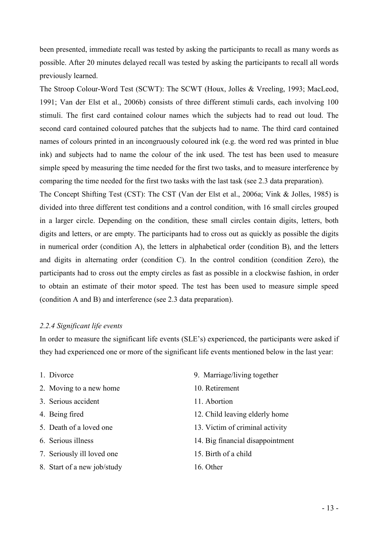been presented, immediate recall was tested by asking the participants to recall as many words as possible. After 20 minutes delayed recall was tested by asking the participants to recall all words previously learned.

The Stroop Colour-Word Test (SCWT): The SCWT (Houx, Jolles & Vreeling, 1993; MacLeod, 1991; Van der Elst et al., 2006b) consists of three different stimuli cards, each involving 100 stimuli. The first card contained colour names which the subjects had to read out loud. The second card contained coloured patches that the subjects had to name. The third card contained names of colours printed in an incongruously coloured ink (e.g. the word red was printed in blue ink) and subjects had to name the colour of the ink used. The test has been used to measure simple speed by measuring the time needed for the first two tasks, and to measure interference by comparing the time needed for the first two tasks with the last task (see 2.3 data preparation).

The Concept Shifting Test (CST): The CST (Van der Elst et al., 2006a; Vink & Jolles, 1985) is divided into three different test conditions and a control condition, with 16 small circles grouped in a larger circle. Depending on the condition, these small circles contain digits, letters, both digits and letters, or are empty. The participants had to cross out as quickly as possible the digits in numerical order (condition A), the letters in alphabetical order (condition B), and the letters and digits in alternating order (condition C). In the control condition (condition Zero), the participants had to cross out the empty circles as fast as possible in a clockwise fashion, in order to obtain an estimate of their motor speed. The test has been used to measure simple speed (condition A and B) and interference (see 2.3 data preparation).

# 2.2.4 Significant life events

In order to measure the significant life events (SLE's) experienced, the participants were asked if they had experienced one or more of the significant life events mentioned below in the last year:

- 
- 2. Moving to a new home 10. Retirement
- 3. Serious accident 11. Abortion
- 
- 
- 
- 7. Seriously ill loved one 15. Birth of a child
- 8. Start of a new job/study 16. Other
- 1. Divorce 9. Marriage/living together
	-
	-
- 4. Being fired 12. Child leaving elderly home
- 5. Death of a loved one 13. Victim of criminal activity
- 6. Serious illness 14. Big financial disappointment
	-
	-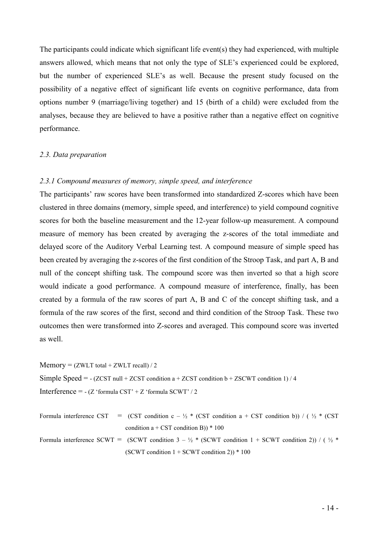The participants could indicate which significant life event(s) they had experienced, with multiple answers allowed, which means that not only the type of SLE's experienced could be explored, but the number of experienced SLE's as well. Because the present study focused on the possibility of a negative effect of significant life events on cognitive performance, data from options number 9 (marriage/living together) and 15 (birth of a child) were excluded from the analyses, because they are believed to have a positive rather than a negative effect on cognitive performance.

# 2.3. Data preparation

# 2.3.1 Compound measures of memory, simple speed, and interference

The participants' raw scores have been transformed into standardized Z-scores which have been clustered in three domains (memory, simple speed, and interference) to yield compound cognitive scores for both the baseline measurement and the 12-year follow-up measurement. A compound measure of memory has been created by averaging the z-scores of the total immediate and delayed score of the Auditory Verbal Learning test. A compound measure of simple speed has been created by averaging the z-scores of the first condition of the Stroop Task, and part A, B and null of the concept shifting task. The compound score was then inverted so that a high score would indicate a good performance. A compound measure of interference, finally, has been created by a formula of the raw scores of part A, B and C of the concept shifting task, and a formula of the raw scores of the first, second and third condition of the Stroop Task. These two outcomes then were transformed into Z-scores and averaged. This compound score was inverted as well.

 $Memory = (ZWLT total + ZWLT recall) / 2$ 

Simple Speed =  $-(ZCST null + ZCST condition a + ZCST condition b + ZSCWT condition 1)/4$ 

Interference =  $-(Z \text{ 'formula } CST' + Z \text{ 'formula } SCWT' / 2)$ 

Formula interference CST = (CST condition c –  $\frac{1}{2}$  \* (CST condition a + CST condition b)) / ( $\frac{1}{2}$  \* (CST condition  $a + CST$  condition B)) \* 100

Formula interference SCWT = (SCWT condition  $3 - \frac{1}{2}$  \* (SCWT condition 1 + SCWT condition 2)) / ( $\frac{1}{2}$  \* (SCWT condition  $1 +$  SCWT condition 2)) \* 100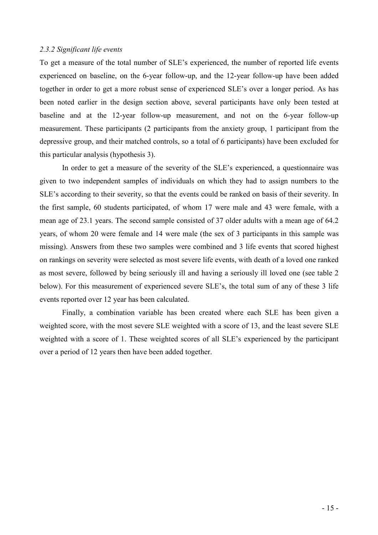# 2.3.2 Significant life events

To get a measure of the total number of SLE's experienced, the number of reported life events experienced on baseline, on the 6-year follow-up, and the 12-year follow-up have been added together in order to get a more robust sense of experienced SLE's over a longer period. As has been noted earlier in the design section above, several participants have only been tested at baseline and at the 12-year follow-up measurement, and not on the 6-year follow-up measurement. These participants (2 participants from the anxiety group, 1 participant from the depressive group, and their matched controls, so a total of 6 participants) have been excluded for this particular analysis (hypothesis 3).

In order to get a measure of the severity of the SLE's experienced, a questionnaire was given to two independent samples of individuals on which they had to assign numbers to the SLE's according to their severity, so that the events could be ranked on basis of their severity. In the first sample, 60 students participated, of whom 17 were male and 43 were female, with a mean age of 23.1 years. The second sample consisted of 37 older adults with a mean age of 64.2 years, of whom 20 were female and 14 were male (the sex of 3 participants in this sample was missing). Answers from these two samples were combined and 3 life events that scored highest on rankings on severity were selected as most severe life events, with death of a loved one ranked as most severe, followed by being seriously ill and having a seriously ill loved one (see table 2 below). For this measurement of experienced severe SLE's, the total sum of any of these 3 life events reported over 12 year has been calculated.

Finally, a combination variable has been created where each SLE has been given a weighted score, with the most severe SLE weighted with a score of 13, and the least severe SLE weighted with a score of 1. These weighted scores of all SLE's experienced by the participant over a period of 12 years then have been added together.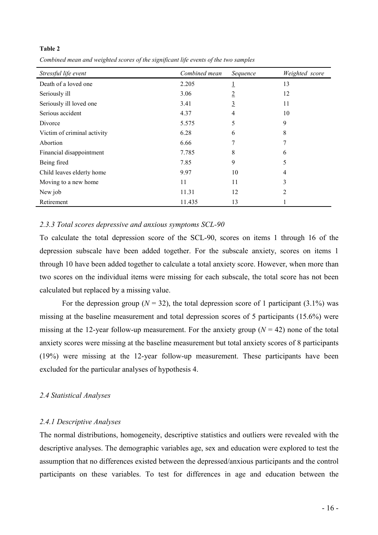#### Table 2

Combined mean and weighted scores of the significant life events of the two samples

| Stressful life event        | Combined mean | Sequence       | Weighted score |
|-----------------------------|---------------|----------------|----------------|
| Death of a loved one        | 2.205         |                | 13             |
| Seriously ill               | 3.06          | $\overline{2}$ | 12             |
| Seriously ill loved one     | 3.41          | <u>3</u>       | 11             |
| Serious accident            | 4.37          | 4              | 10             |
| Divorce                     | 5.575         | 5              | 9              |
| Victim of criminal activity | 6.28          | 6              | 8              |
| Abortion                    | 6.66          |                |                |
| Financial disappointment    | 7.785         | 8              | 6              |
| Being fired                 | 7.85          | 9              | 5              |
| Child leaves elderly home   | 9.97          | 10             | 4              |
| Moving to a new home        | 11            | 11             | 3              |
| New job                     | 11.31         | 12             | 2              |
| Retirement                  | 11.435        | 13             |                |

# 2.3.3 Total scores depressive and anxious symptoms SCL-90

To calculate the total depression score of the SCL-90, scores on items 1 through 16 of the depression subscale have been added together. For the subscale anxiety, scores on items 1 through 10 have been added together to calculate a total anxiety score. However, when more than two scores on the individual items were missing for each subscale, the total score has not been calculated but replaced by a missing value.

For the depression group ( $N = 32$ ), the total depression score of 1 participant (3.1%) was missing at the baseline measurement and total depression scores of 5 participants (15.6%) were missing at the 12-year follow-up measurement. For the anxiety group ( $N = 42$ ) none of the total anxiety scores were missing at the baseline measurement but total anxiety scores of 8 participants (19%) were missing at the 12-year follow-up measurement. These participants have been excluded for the particular analyses of hypothesis 4.

# 2.4 Statistical Analyses

# 2.4.1 Descriptive Analyses

The normal distributions, homogeneity, descriptive statistics and outliers were revealed with the descriptive analyses. The demographic variables age, sex and education were explored to test the assumption that no differences existed between the depressed/anxious participants and the control participants on these variables. To test for differences in age and education between the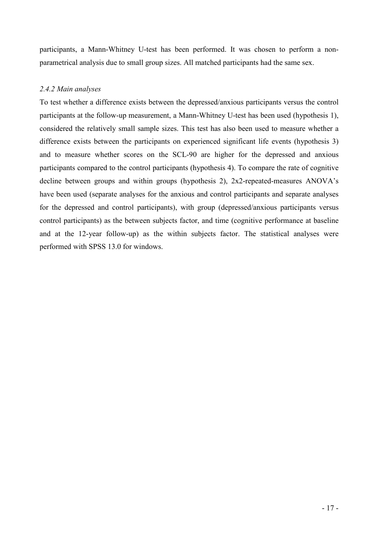participants, a Mann-Whitney U-test has been performed. It was chosen to perform a nonparametrical analysis due to small group sizes. All matched participants had the same sex.

# 2.4.2 Main analyses

To test whether a difference exists between the depressed/anxious participants versus the control participants at the follow-up measurement, a Mann-Whitney U-test has been used (hypothesis 1), considered the relatively small sample sizes. This test has also been used to measure whether a difference exists between the participants on experienced significant life events (hypothesis 3) and to measure whether scores on the SCL-90 are higher for the depressed and anxious participants compared to the control participants (hypothesis 4). To compare the rate of cognitive decline between groups and within groups (hypothesis 2), 2x2-repeated-measures ANOVA's have been used (separate analyses for the anxious and control participants and separate analyses for the depressed and control participants), with group (depressed/anxious participants versus control participants) as the between subjects factor, and time (cognitive performance at baseline and at the 12-year follow-up) as the within subjects factor. The statistical analyses were performed with SPSS 13.0 for windows.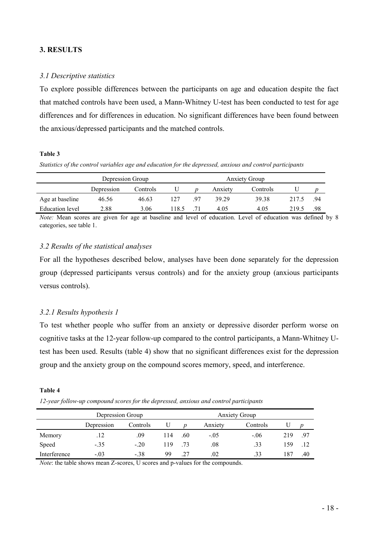# 3. RESULTS

# 3.1 Descriptive statistics

To explore possible differences between the participants on age and education despite the fact that matched controls have been used, a Mann-Whitney U-test has been conducted to test for age differences and for differences in education. No significant differences have been found between the anxious/depressed participants and the matched controls.

# Table 3

Statistics of the control variables age and education for the depressed, anxious and control participants

|                 | Depression Group |          |       |    | <b>Anxiety Group</b> |          |       |     |  |
|-----------------|------------------|----------|-------|----|----------------------|----------|-------|-----|--|
|                 | Depression       | Controls |       |    | Anxiety              | Controls |       |     |  |
| Age at baseline | 46.56            | 46.63    | 127   | 97 | 39 29                | 39.38    | 217.5 | .94 |  |
| Education level | 2.88             | 3.06     | 118.5 |    | 4.05                 | 4.05     | 219.5 | .98 |  |

Note: Mean scores are given for age at baseline and level of education. Level of education was defined by 8 categories, see table 1.

# 3.2 Results of the statistical analyses

For all the hypotheses described below, analyses have been done separately for the depression group (depressed participants versus controls) and for the anxiety group (anxious participants versus controls).

# 3.2.1 Results hypothesis 1

To test whether people who suffer from an anxiety or depressive disorder perform worse on cognitive tasks at the 12-year follow-up compared to the control participants, a Mann-Whitney Utest has been used. Results (table 4) show that no significant differences exist for the depression group and the anxiety group on the compound scores memory, speed, and interference.

### Table 4

12-year follow-up compound scores for the depressed, anxious and control participants

|              | Depression Group |          |     |      | <b>Anxiety Group</b> |          |     |     |
|--------------|------------------|----------|-----|------|----------------------|----------|-----|-----|
|              | Depression       | Controls |     | n    | Anxiety              | Controls |     |     |
| Memory       | .12              | .09      | 114 | .60  | $-.05$               | $-.06$   | 219 | .97 |
| Speed        | $-.35$           | $-.20$   | 119 | - 73 | .08                  | .33      | 159 |     |
| Interference | $-.03$           | $-.38$   | 99  | .27  | .02                  | .33      | 187 | .40 |

Note: the table shows mean Z-scores, U scores and p-values for the compounds.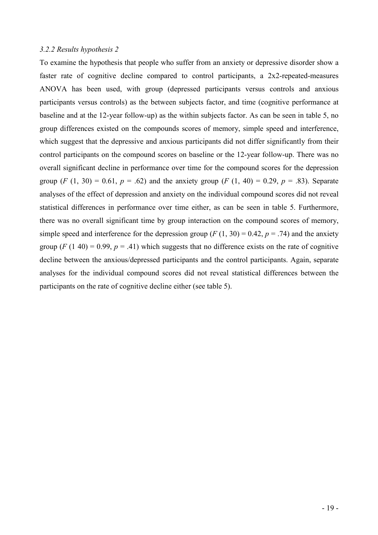# 3.2.2 Results hypothesis 2

To examine the hypothesis that people who suffer from an anxiety or depressive disorder show a faster rate of cognitive decline compared to control participants, a 2x2-repeated-measures ANOVA has been used, with group (depressed participants versus controls and anxious participants versus controls) as the between subjects factor, and time (cognitive performance at baseline and at the 12-year follow-up) as the within subjects factor. As can be seen in table 5, no group differences existed on the compounds scores of memory, simple speed and interference, which suggest that the depressive and anxious participants did not differ significantly from their control participants on the compound scores on baseline or the 12-year follow-up. There was no overall significant decline in performance over time for the compound scores for the depression group  $(F (1, 30) = 0.61, p = .62)$  and the anxiety group  $(F (1, 40) = 0.29, p = .83)$ . Separate analyses of the effect of depression and anxiety on the individual compound scores did not reveal statistical differences in performance over time either, as can be seen in table 5. Furthermore, there was no overall significant time by group interaction on the compound scores of memory, simple speed and interference for the depression group ( $F(1, 30) = 0.42$ ,  $p = .74$ ) and the anxiety group (F (1 40) = 0.99,  $p = .41$ ) which suggests that no difference exists on the rate of cognitive decline between the anxious/depressed participants and the control participants. Again, separate analyses for the individual compound scores did not reveal statistical differences between the participants on the rate of cognitive decline either (see table 5).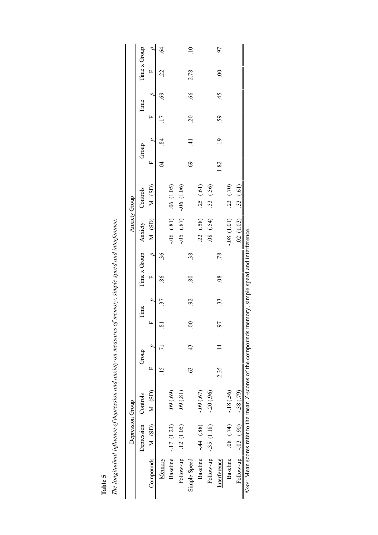|                  | Time x Group           |                           | $\widetilde{\mathcal{C}}$ |             |             | $\overline{10}$ |                 |             | 97             |                  |                |                                                                                                      |
|------------------|------------------------|---------------------------|---------------------------|-------------|-------------|-----------------|-----------------|-------------|----------------|------------------|----------------|------------------------------------------------------------------------------------------------------|
|                  |                        | $\mathbf{r}$              | 22                        |             |             | 2.78            |                 |             | S              |                  |                |                                                                                                      |
|                  | Time                   | $\overline{a}$            | 69                        |             |             | $\widetilde{9}$ |                 |             | 45             |                  |                |                                                                                                      |
|                  |                        | ĻΙ.                       |                           |             |             | $\tilde{c}$     |                 |             | 59             |                  |                |                                                                                                      |
|                  | Group                  |                           | $\overline{84}$           |             |             | $\pm$           |                 |             | $\overline{.}$ |                  |                |                                                                                                      |
|                  |                        | ĻΙ.                       | $\overline{5}$            |             |             | 69              |                 |             | 1.82           |                  |                |                                                                                                      |
|                  | Controls               |                           |                           | .06(1.05)   | $-06(1.06)$ |                 | .25(61)         | .33(.56)    |                | .23(70)          | .33(61)        |                                                                                                      |
| Anxiety Group    | $Time x Group$ Anxiety | $M(SD)$ M $(SD)$          |                           | $-0.81$ )   | $(58)$ 50.  |                 | .22(.58)        | $(55)$ 80.  |                | $-0.08$ $(1.01)$ | .02(1.03)      |                                                                                                      |
|                  |                        | $\overline{a}$            | 36                        |             |             | 38              |                 |             | .78            |                  |                |                                                                                                      |
|                  |                        | $\mathbb{L}$              | 86                        |             |             | 80              |                 |             | $\frac{8}{2}$  |                  |                |                                                                                                      |
|                  | Time                   |                           |                           |             |             | $\mathcal{S}$   |                 |             | 33             |                  |                |                                                                                                      |
|                  |                        |                           | ವ                         |             |             | $\odot$         |                 |             | 97             |                  |                |                                                                                                      |
|                  | Group                  |                           |                           |             |             | 43              |                 |             | $\vec{a}$      |                  |                |                                                                                                      |
|                  |                        | ĻΙ.                       |                           |             |             | $\mathcal{S}$   |                 |             | 2.35           |                  |                |                                                                                                      |
|                  |                        |                           |                           | (69)(69)    | .09(.81)    |                 | $-0.09(67)$     | $-20(0.96)$ |                | $-18(.56)$       | $-38(.79)$     |                                                                                                      |
| Depression Group | Depression Controls    | Compounds $M(SD)$ $M(SD)$ |                           | $-17(1.23)$ | .12(1.05)   |                 | $-44(88)$       | $-35(1.18)$ |                | (1, 74)          | $(06)$ $(50 -$ |                                                                                                      |
|                  |                        |                           | Memory                    | Baseline    | Follow-up   | Simple Speed    | <b>Baseline</b> | Follow-up   | Interference   | <b>Baseline</b>  | Follow-up      | Note: Mean scores refer to the mean Z-scores of the compounds memory, simple speed and interference. |

The longitudinal influence of depression and anxiety on measures of memory, simple speed and interference. The longitudinal influence of depression and anxiety on measures of memory, simple speed and interference.

# Table 5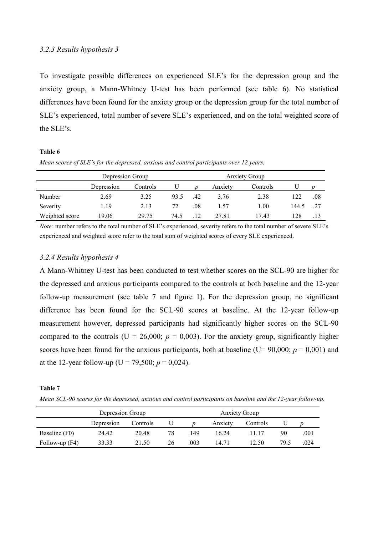# 3.2.3 Results hypothesis 3

To investigate possible differences on experienced SLE's for the depression group and the anxiety group, a Mann-Whitney U-test has been performed (see table 6). No statistical differences have been found for the anxiety group or the depression group for the total number of SLE's experienced, total number of severe SLE's experienced, and on the total weighted score of the SLE's.

#### Table 6

| Mean scores of SLE's for the depressed, anxious and control participants over 12 years. |
|-----------------------------------------------------------------------------------------|
|-----------------------------------------------------------------------------------------|

|                | Depression Group |          |      |     | <b>Anxiety Group</b> |          |       |     |
|----------------|------------------|----------|------|-----|----------------------|----------|-------|-----|
|                | Depression       | Controls | U    |     | Anxiety              | Controls |       |     |
| Number         | 2.69             | 3.25     | 93.5 | .42 | 3.76                 | 2.38     | 122   | .08 |
| Severity       | 1.19             | 2.13     | 72   | .08 | 1.57                 | 1.00     | 144.5 | .27 |
| Weighted score | 19.06            | 29.75    | 74.5 | 12  | 27.81                | 17.43    | 128   |     |

Note: number refers to the total number of SLE's experienced, severity refers to the total number of severe SLE's experienced and weighted score refer to the total sum of weighted scores of every SLE experienced.

# 3.2.4 Results hypothesis 4

A Mann-Whitney U-test has been conducted to test whether scores on the SCL-90 are higher for the depressed and anxious participants compared to the controls at both baseline and the 12-year follow-up measurement (see table 7 and figure 1). For the depression group, no significant difference has been found for the SCL-90 scores at baseline. At the 12-year follow-up measurement however, depressed participants had significantly higher scores on the SCL-90 compared to the controls (U = 26,000;  $p = 0.003$ ). For the anxiety group, significantly higher scores have been found for the anxious participants, both at baseline (U= 90,000;  $p = 0,001$ ) and at the 12-year follow-up (U = 79,500;  $p = 0.024$ ).

## Table 7

Mean SCL-90 scores for the depressed, anxious and control participants on baseline and the 12-year follow-up.

|                  | Depression Group | <b>Anxiety Group</b> |    |                  |         |          |      |      |
|------------------|------------------|----------------------|----|------------------|---------|----------|------|------|
|                  | Depression       | Controls             |    | $\boldsymbol{D}$ | Anxiety | Controls |      |      |
| Baseline (F0)    | 24.42            | 20.48                | 78 | .149             | 16.24   |          | 90   | .001 |
| Follow-up $(F4)$ | 33.33            | 21.50                | 26 | .003             | 14 71   | 12.50    | 79.5 | .024 |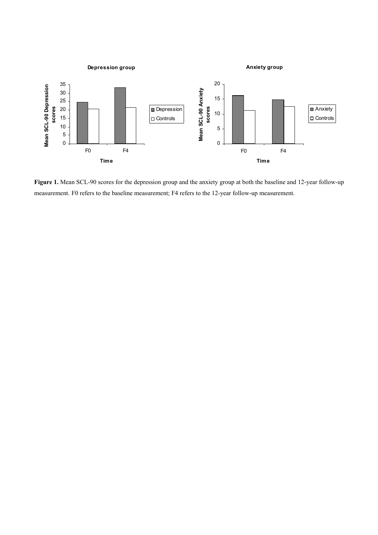

Figure 1. Mean SCL-90 scores for the depression group and the anxiety group at both the baseline and 12-year follow-up measurement. F0 refers to the baseline measurement; F4 refers to the 12-year follow-up measurement.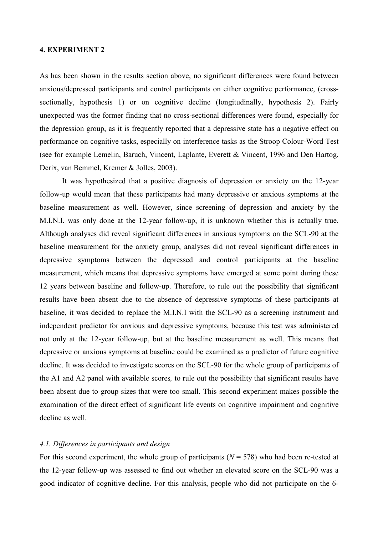# 4. EXPERIMENT 2

As has been shown in the results section above, no significant differences were found between anxious/depressed participants and control participants on either cognitive performance, (crosssectionally, hypothesis 1) or on cognitive decline (longitudinally, hypothesis 2). Fairly unexpected was the former finding that no cross-sectional differences were found, especially for the depression group, as it is frequently reported that a depressive state has a negative effect on performance on cognitive tasks, especially on interference tasks as the Stroop Colour-Word Test (see for example Lemelin, Baruch, Vincent, Laplante, Everett & Vincent, 1996 and Den Hartog, Derix, van Bemmel, Kremer & Jolles, 2003).

It was hypothesized that a positive diagnosis of depression or anxiety on the 12-year follow-up would mean that these participants had many depressive or anxious symptoms at the baseline measurement as well. However, since screening of depression and anxiety by the M.I.N.I. was only done at the 12-year follow-up, it is unknown whether this is actually true. Although analyses did reveal significant differences in anxious symptoms on the SCL-90 at the baseline measurement for the anxiety group, analyses did not reveal significant differences in depressive symptoms between the depressed and control participants at the baseline measurement, which means that depressive symptoms have emerged at some point during these 12 years between baseline and follow-up. Therefore, to rule out the possibility that significant results have been absent due to the absence of depressive symptoms of these participants at baseline, it was decided to replace the M.I.N.I with the SCL-90 as a screening instrument and independent predictor for anxious and depressive symptoms, because this test was administered not only at the 12-year follow-up, but at the baseline measurement as well. This means that depressive or anxious symptoms at baseline could be examined as a predictor of future cognitive decline. It was decided to investigate scores on the SCL-90 for the whole group of participants of the A1 and A2 panel with available scores, to rule out the possibility that significant results have been absent due to group sizes that were too small. This second experiment makes possible the examination of the direct effect of significant life events on cognitive impairment and cognitive decline as well.

#### 4.1. Differences in participants and design

For this second experiment, the whole group of participants ( $N = 578$ ) who had been re-tested at the 12-year follow-up was assessed to find out whether an elevated score on the SCL-90 was a good indicator of cognitive decline. For this analysis, people who did not participate on the 6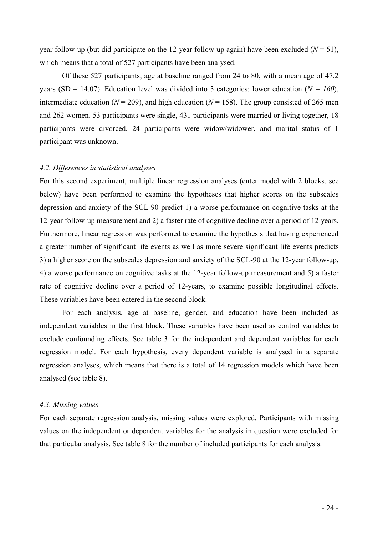year follow-up (but did participate on the 12-year follow-up again) have been excluded ( $N = 51$ ), which means that a total of 527 participants have been analysed.

Of these 527 participants, age at baseline ranged from 24 to 80, with a mean age of 47.2 years (SD = 14.07). Education level was divided into 3 categories: lower education ( $N = 160$ ), intermediate education ( $N = 209$ ), and high education ( $N = 158$ ). The group consisted of 265 men and 262 women. 53 participants were single, 431 participants were married or living together, 18 participants were divorced, 24 participants were widow/widower, and marital status of 1 participant was unknown.

# 4.2. Differences in statistical analyses

For this second experiment, multiple linear regression analyses (enter model with 2 blocks, see below) have been performed to examine the hypotheses that higher scores on the subscales depression and anxiety of the SCL-90 predict 1) a worse performance on cognitive tasks at the 12-year follow-up measurement and 2) a faster rate of cognitive decline over a period of 12 years. Furthermore, linear regression was performed to examine the hypothesis that having experienced a greater number of significant life events as well as more severe significant life events predicts 3) a higher score on the subscales depression and anxiety of the SCL-90 at the 12-year follow-up, 4) a worse performance on cognitive tasks at the 12-year follow-up measurement and 5) a faster rate of cognitive decline over a period of 12-years, to examine possible longitudinal effects. These variables have been entered in the second block.

For each analysis, age at baseline, gender, and education have been included as independent variables in the first block. These variables have been used as control variables to exclude confounding effects. See table 3 for the independent and dependent variables for each regression model. For each hypothesis, every dependent variable is analysed in a separate regression analyses, which means that there is a total of 14 regression models which have been analysed (see table 8).

#### 4.3. Missing values

For each separate regression analysis, missing values were explored. Participants with missing values on the independent or dependent variables for the analysis in question were excluded for that particular analysis. See table 8 for the number of included participants for each analysis.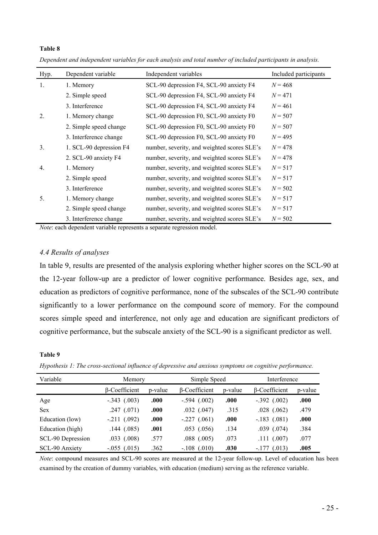| Hyp. | Dependent variable      | Independent variables                       | Included participants |
|------|-------------------------|---------------------------------------------|-----------------------|
|      |                         |                                             |                       |
| 1.   | 1. Memory               | SCL-90 depression F4, SCL-90 anxiety F4     | $N = 468$             |
|      | 2. Simple speed         | SCL-90 depression F4, SCL-90 anxiety F4     | $N = 471$             |
|      | 3. Interference         | SCL-90 depression F4, SCL-90 anxiety F4     | $N = 461$             |
| 2.   | 1. Memory change        | SCL-90 depression F0, SCL-90 anxiety F0     | $N = 507$             |
|      | 2. Simple speed change  | SCL-90 depression F0, SCL-90 anxiety F0     | $N = 507$             |
|      | 3. Interference change  | SCL-90 depression F0, SCL-90 anxiety F0     | $N = 495$             |
| 3.   | 1. SCL-90 depression F4 | number, severity, and weighted scores SLE's | $N = 478$             |
|      | 2. SCL-90 anxiety F4    | number, severity, and weighted scores SLE's | $N = 478$             |
| 4.   | 1. Memory               | number, severity, and weighted scores SLE's | $N = 517$             |
|      | 2. Simple speed         | number, severity, and weighted scores SLE's | $N = 517$             |
|      | 3. Interference         | number, severity, and weighted scores SLE's | $N = 502$             |
| 5.   | 1. Memory change        | number, severity, and weighted scores SLE's | $N = 517$             |
|      | 2. Simple speed change  | number, severity, and weighted scores SLE's | $N = 517$             |
|      | 3. Interference change  | number, severity, and weighted scores SLE's | $N = 502$             |

Dependent and independent variables for each analysis and total number of included participants in analysis.

Note: each dependent variable represents a separate regression model.

# 4.4 Results of analyses

In table 9, results are presented of the analysis exploring whether higher scores on the SCL-90 at the 12-year follow-up are a predictor of lower cognitive performance. Besides age, sex, and education as predictors of cognitive performance, none of the subscales of the SCL-90 contribute significantly to a lower performance on the compound score of memory. For the compound scores simple speed and interference, not only age and education are significant predictors of cognitive performance, but the subscale anxiety of the SCL-90 is a significant predictor as well.

#### Table 9

Table 8

| Hypothesis 1: The cross-sectional influence of depressive and anxious symptoms on cognitive performance. |  |  |
|----------------------------------------------------------------------------------------------------------|--|--|
|                                                                                                          |  |  |
|                                                                                                          |  |  |

| Variable          | Memory               |         | Simple Speed         |         | Interference         |         |  |
|-------------------|----------------------|---------|----------------------|---------|----------------------|---------|--|
|                   | <b>B-Coefficient</b> | p-value | <b>B-Coefficient</b> | p-value | $\beta$ -Coefficient | p-value |  |
| Age               | $-.343$ $(.003)$     | .000    | $-.594$ $(.002)$     | .000    | $-.392$ $(.002)$     | .000    |  |
| <b>Sex</b>        | $.247$ $(.071)$      | .000    | $.032$ $(.047)$      | .315    | $.028$ $(.062)$      | .479    |  |
| Education (low)   | $-.211$ $(.092)$     | .000    | $-.227(.061)$        | .000    | $-.183$ $(.081)$     | .000    |  |
| Education (high)  | .144(.085)           | .001    | $.053$ $(.056)$      | .134    | $.039$ $(.074)$      | .384    |  |
| SCL-90 Depression | $.033$ $(.008)$      | .577    | $.088$ $(.005)$      | .073    | .111(.007)           | .077    |  |
| SCL-90 Anxiety    | $-.055$ $(.015)$     | .362    | $-.108$ (.010)       | .030    | $-177$ (.013)        | .005    |  |

Note: compound measures and SCL-90 scores are measured at the 12-year follow-up. Level of education has been examined by the creation of dummy variables, with education (medium) serving as the reference variable.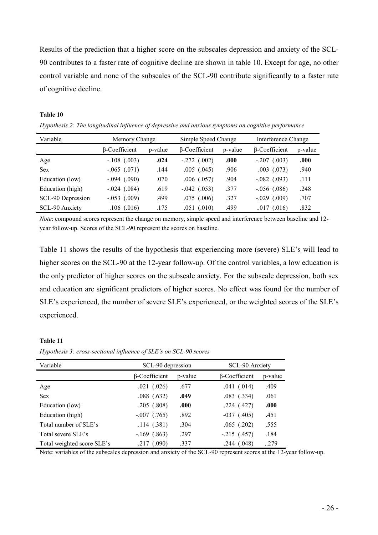Results of the prediction that a higher score on the subscales depression and anxiety of the SCL-90 contributes to a faster rate of cognitive decline are shown in table 10. Except for age, no other control variable and none of the subscales of the SCL-90 contribute significantly to a faster rate of cognitive decline.

# Table 10

Hypothesis 2: The longitudinal influence of depressive and anxious symptoms on cognitive performance

| Variable          | Memory Change        |         | Simple Speed Change  |         | Interference Change  |         |
|-------------------|----------------------|---------|----------------------|---------|----------------------|---------|
|                   | <b>B-Coefficient</b> | p-value | <b>B-Coefficient</b> | p-value | $\beta$ -Coefficient | p-value |
| Age               | $-.108$ (.003)       | .024    | $-.272$ $(.002)$     | .000    | $-.207$ $(.003)$     | .000    |
| <b>Sex</b>        | $-.065$ $(.071)$     | .144    | $.005$ $(.045)$      | .906    | $.003$ $(.073)$      | .940    |
| Education (low)   | $-.094$ (.090)       | .070    | $.006$ $(.057)$      | .904    | $-.082$ (.093)       | .111    |
| Education (high)  | $-.024$ $(.084)$     | .619    | $-.042$ (.053)       | 377     | $-.056$ $(.086)$     | .248    |
| SCL-90 Depression | $-.053$ $(.009)$     | .499    | $.075$ $(.006)$      | .327    | $-.029$ $(.009)$     | .707    |
| SCL-90 Anxiety    | $.106$ $(.016)$      | .175    | $.051$ $(.010)$      | .499    | .017(.016)           | .832    |

Note: compound scores represent the change on memory, simple speed and interference between baseline and 12 year follow-up. Scores of the SCL-90 represent the scores on baseline.

Table 11 shows the results of the hypothesis that experiencing more (severe) SLE's will lead to higher scores on the SCL-90 at the 12-year follow-up. Of the control variables, a low education is the only predictor of higher scores on the subscale anxiety. For the subscale depression, both sex and education are significant predictors of higher scores. No effect was found for the number of SLE's experienced, the number of severe SLE's experienced, or the weighted scores of the SLE's experienced.

# Table 11

Hypothesis 3: cross-sectional influence of SLE's on SCL-90 scores

| Variable                   | SCL-90 depression    |         | SCL-90 Anxiety       |         |  |
|----------------------------|----------------------|---------|----------------------|---------|--|
|                            | $\beta$ -Coefficient | p-value | $\beta$ -Coefficient | p-value |  |
| Age                        | $.021$ $(.026)$      | .677    | $.041$ $(.014)$      | .409    |  |
| <b>Sex</b>                 | $.088$ $(.632)$      | .049    | $.083$ $(.334)$      | .061    |  |
| Education (low)            | .205(.808)           | .000    | .224(.427)           | .000    |  |
| Education (high)           | $-.007$ $(.765)$     | .892    | $-037(0.405)$        | .451    |  |
| Total number of SLE's      | .114(.381)           | .304    | $.065$ $(.202)$      | .555    |  |
| Total severe SLE's         | $-.169$ $(.863)$     | .297    | $-.215$ $(.457)$     | .184    |  |
| Total weighted score SLE's | .217(.090)           | .337    | .244(.048)           | 279     |  |

Note: variables of the subscales depression and anxiety of the SCL-90 represent scores at the 12-year follow-up.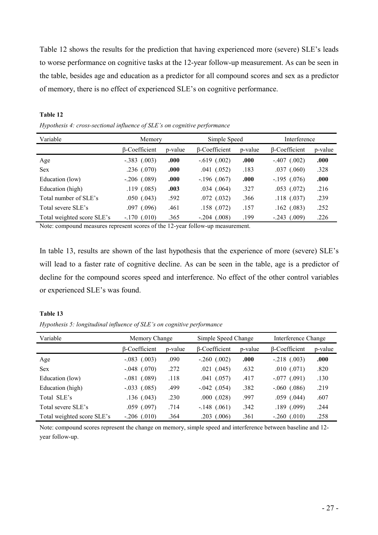Table 12 shows the results for the prediction that having experienced more (severe) SLE's leads to worse performance on cognitive tasks at the 12-year follow-up measurement. As can be seen in the table, besides age and education as a predictor for all compound scores and sex as a predictor of memory, there is no effect of experienced SLE's on cognitive performance.

| Variable                   | Memory           |         | Simple Speed         |         | Interference         |         |
|----------------------------|------------------|---------|----------------------|---------|----------------------|---------|
|                            | β-Coefficient    | p-value | <b>B-Coefficient</b> | p-value | <b>B-Coefficient</b> | p-value |
| Age                        | $-.383$ $(.003)$ | .000    | $-.619$ $(.002)$     | .000    | $-.407$ (.002)       | .000    |
| <b>Sex</b>                 | .236(.070)       | .000    | (.052)<br>.041       | .183    | $.037$ $(.060)$      | .328    |
| Education (low)            | $-.206(.089)$    | .000    | $-.196(.067)$        | .000    | $-.195(.076)$        | .000    |
| Education (high)           | .119(0.085)      | .003    | .034(.064)           | .327    | $.053$ $(.072)$      | .216    |
| Total number of SLE's      | $.050$ $(.043)$  | .592    | .072(0.032)          | .366    | $.118$ $(.037)$      | .239    |
| Total severe SLE's         | $.097$ $(.096)$  | .461    | .158(.072)           | .157    | $.162$ $(.083)$      | .252    |
| Total weighted score SLE's | $-.170$ $(.010)$ | .365    | $-.204$ (.008)       | .199    | $-.243$ $(.009)$     | .226    |

Table 12 Hypothesis 4: cross-sectional influence of SLE's on cognitive performance

Note: compound measures represent scores of the 12-year follow-up measurement.

In table 13, results are shown of the last hypothesis that the experience of more (severe) SLE's will lead to a faster rate of cognitive decline. As can be seen in the table, age is a predictor of decline for the compound scores speed and interference. No effect of the other control variables or experienced SLE's was found.

#### Table 13

Hypothesis 5: longitudinal influence of SLE's on cognitive performance

| Variable                   | Memory Change        |         | Simple Speed Change  |         | Interference Change  |         |
|----------------------------|----------------------|---------|----------------------|---------|----------------------|---------|
|                            | <b>B-Coefficient</b> | p-value | <b>B-Coefficient</b> | p-value | $\beta$ -Coefficient | p-value |
| Age                        | $-.083$ $(.003)$     | .090    | $-.260$ $(.002)$     | .000    | $-.218$ $(.003)$     | .000    |
| <b>Sex</b>                 | $-.048$ $(.070)$     | .272    | $.021$ $(.045)$      | .632    | $.010$ $(.071)$      | .820    |
| Education (low)            | $-.081$ $(.089)$     | .118    | $.041$ $(.057)$      | .417    | $-.077$ $(.091)$     | .130    |
| Education (high)           | $-.033$ $(.085)$     | .499    | $-.042$ (.054)       | .382    | $-.060$ $(.086)$     | .219    |
| Total SLE's                | .136(.043)           | .230    | $.000$ $(.028)$      | .997    | $.059$ $(.044)$      | .607    |
| Total severe SLE's         | $.059$ $(.097)$      | .714    | $-.148$ (.061)       | .342    | $.189$ $(.099)$      | .244    |
| Total weighted score SLE's | $-.206(.010)$        | .364    | $.203$ $(.006)$      | .361    | $-.260$ $(.010)$     | .258    |

Note: compound scores represent the change on memory, simple speed and interference between baseline and 12 year follow-up.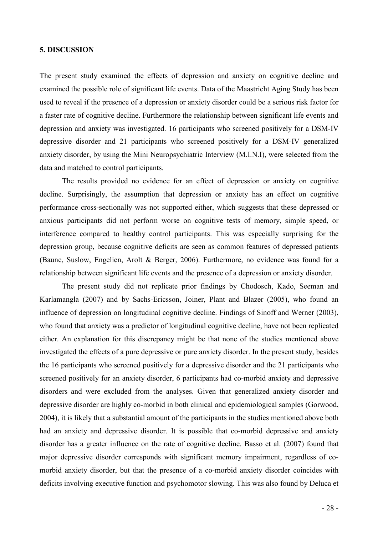# 5. DISCUSSION

The present study examined the effects of depression and anxiety on cognitive decline and examined the possible role of significant life events. Data of the Maastricht Aging Study has been used to reveal if the presence of a depression or anxiety disorder could be a serious risk factor for a faster rate of cognitive decline. Furthermore the relationship between significant life events and depression and anxiety was investigated. 16 participants who screened positively for a DSM-IV depressive disorder and 21 participants who screened positively for a DSM-IV generalized anxiety disorder, by using the Mini Neuropsychiatric Interview (M.I.N.I), were selected from the data and matched to control participants.

The results provided no evidence for an effect of depression or anxiety on cognitive decline. Surprisingly, the assumption that depression or anxiety has an effect on cognitive performance cross-sectionally was not supported either, which suggests that these depressed or anxious participants did not perform worse on cognitive tests of memory, simple speed, or interference compared to healthy control participants. This was especially surprising for the depression group, because cognitive deficits are seen as common features of depressed patients (Baune, Suslow, Engelien, Arolt & Berger, 2006). Furthermore, no evidence was found for a relationship between significant life events and the presence of a depression or anxiety disorder.

The present study did not replicate prior findings by Chodosch, Kado, Seeman and Karlamangla (2007) and by Sachs-Ericsson, Joiner, Plant and Blazer (2005), who found an influence of depression on longitudinal cognitive decline. Findings of Sinoff and Werner (2003), who found that anxiety was a predictor of longitudinal cognitive decline, have not been replicated either. An explanation for this discrepancy might be that none of the studies mentioned above investigated the effects of a pure depressive or pure anxiety disorder. In the present study, besides the 16 participants who screened positively for a depressive disorder and the 21 participants who screened positively for an anxiety disorder, 6 participants had co-morbid anxiety and depressive disorders and were excluded from the analyses. Given that generalized anxiety disorder and depressive disorder are highly co-morbid in both clinical and epidemiological samples (Gorwood, 2004), it is likely that a substantial amount of the participants in the studies mentioned above both had an anxiety and depressive disorder. It is possible that co-morbid depressive and anxiety disorder has a greater influence on the rate of cognitive decline. Basso et al. (2007) found that major depressive disorder corresponds with significant memory impairment, regardless of comorbid anxiety disorder, but that the presence of a co-morbid anxiety disorder coincides with deficits involving executive function and psychomotor slowing. This was also found by Deluca et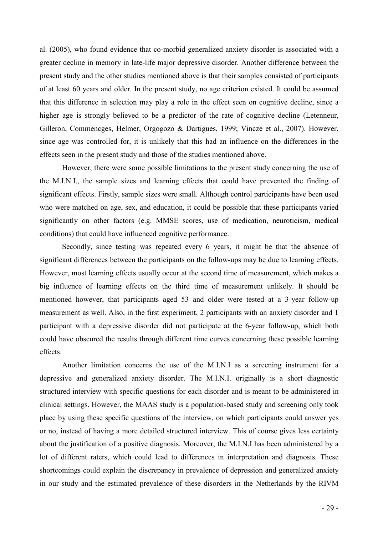al. (2005), who found evidence that co-morbid generalized anxiety disorder is associated with a greater decline in memory in late-life major depressive disorder. Another difference between the present study and the other studies mentioned above is that their samples consisted of participants of at least 60 years and older. In the present study, no age criterion existed. It could be assumed that this difference in selection may play a role in the effect seen on cognitive decline, since a higher age is strongly believed to be a predictor of the rate of cognitive decline (Letenneur, Gilleron, Commencges, Helmer, Orgogozo & Dartigues, 1999; Vincze et al., 2007). However, since age was controlled for, it is unlikely that this had an influence on the differences in the effects seen in the present study and those of the studies mentioned above.

However, there were some possible limitations to the present study concerning the use of the M.I.N.I., the sample sizes and learning effects that could have prevented the finding of significant effects. Firstly, sample sizes were small. Although control participants have been used who were matched on age, sex, and education, it could be possible that these participants varied significantly on other factors (e.g. MMSE scores, use of medication, neuroticism, medical conditions) that could have influenced cognitive performance.

Secondly, since testing was repeated every 6 years, it might be that the absence of significant differences between the participants on the follow-ups may be due to learning effects. However, most learning effects usually occur at the second time of measurement, which makes a big influence of learning effects on the third time of measurement unlikely. It should be mentioned however, that participants aged 53 and older were tested at a 3-year follow-up measurement as well. Also, in the first experiment, 2 participants with an anxiety disorder and 1 participant with a depressive disorder did not participate at the 6-year follow-up, which both could have obscured the results through different time curves concerning these possible learning effects.

Another limitation concerns the use of the M.I.N.I as a screening instrument for a depressive and generalized anxiety disorder. The M.I.N.I. originally is a short diagnostic structured interview with specific questions for each disorder and is meant to be administered in clinical settings. However, the MAAS study is a population-based study and screening only took place by using these specific questions of the interview, on which participants could answer yes or no, instead of having a more detailed structured interview. This of course gives less certainty about the justification of a positive diagnosis. Moreover, the M.I.N.I has been administered by a lot of different raters, which could lead to differences in interpretation and diagnosis. These shortcomings could explain the discrepancy in prevalence of depression and generalized anxiety in our study and the estimated prevalence of these disorders in the Netherlands by the RIVM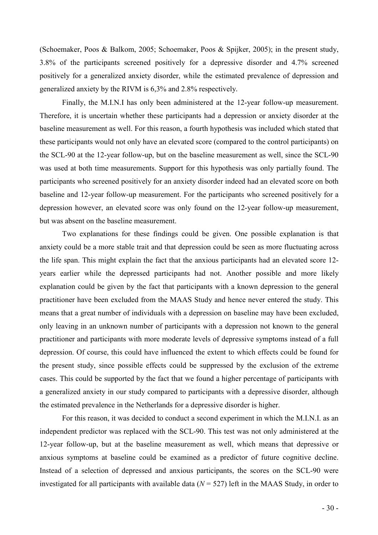(Schoemaker, Poos & Balkom, 2005; Schoemaker, Poos & Spijker, 2005); in the present study, 3.8% of the participants screened positively for a depressive disorder and 4.7% screened positively for a generalized anxiety disorder, while the estimated prevalence of depression and generalized anxiety by the RIVM is 6,3% and 2.8% respectively.

Finally, the M.I.N.I has only been administered at the 12-year follow-up measurement. Therefore, it is uncertain whether these participants had a depression or anxiety disorder at the baseline measurement as well. For this reason, a fourth hypothesis was included which stated that these participants would not only have an elevated score (compared to the control participants) on the SCL-90 at the 12-year follow-up, but on the baseline measurement as well, since the SCL-90 was used at both time measurements. Support for this hypothesis was only partially found. The participants who screened positively for an anxiety disorder indeed had an elevated score on both baseline and 12-year follow-up measurement. For the participants who screened positively for a depression however, an elevated score was only found on the 12-year follow-up measurement, but was absent on the baseline measurement.

Two explanations for these findings could be given. One possible explanation is that anxiety could be a more stable trait and that depression could be seen as more fluctuating across the life span. This might explain the fact that the anxious participants had an elevated score 12 years earlier while the depressed participants had not. Another possible and more likely explanation could be given by the fact that participants with a known depression to the general practitioner have been excluded from the MAAS Study and hence never entered the study. This means that a great number of individuals with a depression on baseline may have been excluded, only leaving in an unknown number of participants with a depression not known to the general practitioner and participants with more moderate levels of depressive symptoms instead of a full depression. Of course, this could have influenced the extent to which effects could be found for the present study, since possible effects could be suppressed by the exclusion of the extreme cases. This could be supported by the fact that we found a higher percentage of participants with a generalized anxiety in our study compared to participants with a depressive disorder, although the estimated prevalence in the Netherlands for a depressive disorder is higher.

 For this reason, it was decided to conduct a second experiment in which the M.I.N.I. as an independent predictor was replaced with the SCL-90. This test was not only administered at the 12-year follow-up, but at the baseline measurement as well, which means that depressive or anxious symptoms at baseline could be examined as a predictor of future cognitive decline. Instead of a selection of depressed and anxious participants, the scores on the SCL-90 were investigated for all participants with available data  $(N = 527)$  left in the MAAS Study, in order to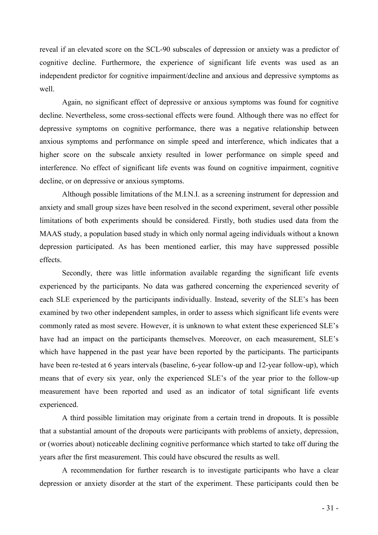reveal if an elevated score on the SCL-90 subscales of depression or anxiety was a predictor of cognitive decline. Furthermore, the experience of significant life events was used as an independent predictor for cognitive impairment/decline and anxious and depressive symptoms as well.

 Again, no significant effect of depressive or anxious symptoms was found for cognitive decline. Nevertheless, some cross-sectional effects were found. Although there was no effect for depressive symptoms on cognitive performance, there was a negative relationship between anxious symptoms and performance on simple speed and interference, which indicates that a higher score on the subscale anxiety resulted in lower performance on simple speed and interference. No effect of significant life events was found on cognitive impairment, cognitive decline, or on depressive or anxious symptoms.

 Although possible limitations of the M.I.N.I. as a screening instrument for depression and anxiety and small group sizes have been resolved in the second experiment, several other possible limitations of both experiments should be considered. Firstly, both studies used data from the MAAS study, a population based study in which only normal ageing individuals without a known depression participated. As has been mentioned earlier, this may have suppressed possible effects.

 Secondly, there was little information available regarding the significant life events experienced by the participants. No data was gathered concerning the experienced severity of each SLE experienced by the participants individually. Instead, severity of the SLE's has been examined by two other independent samples, in order to assess which significant life events were commonly rated as most severe. However, it is unknown to what extent these experienced SLE's have had an impact on the participants themselves. Moreover, on each measurement, SLE's which have happened in the past year have been reported by the participants. The participants have been re-tested at 6 years intervals (baseline, 6-year follow-up and 12-year follow-up), which means that of every six year, only the experienced SLE's of the year prior to the follow-up measurement have been reported and used as an indicator of total significant life events experienced.

 A third possible limitation may originate from a certain trend in dropouts. It is possible that a substantial amount of the dropouts were participants with problems of anxiety, depression, or (worries about) noticeable declining cognitive performance which started to take off during the years after the first measurement. This could have obscured the results as well.

 A recommendation for further research is to investigate participants who have a clear depression or anxiety disorder at the start of the experiment. These participants could then be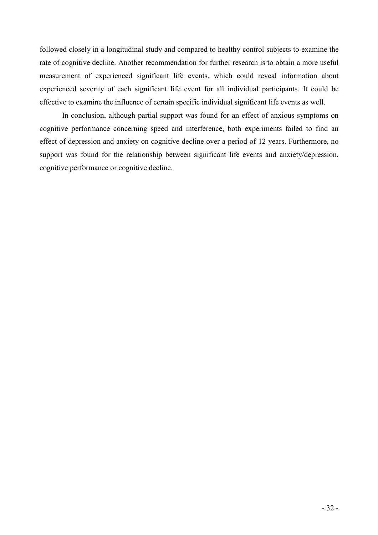followed closely in a longitudinal study and compared to healthy control subjects to examine the rate of cognitive decline. Another recommendation for further research is to obtain a more useful measurement of experienced significant life events, which could reveal information about experienced severity of each significant life event for all individual participants. It could be effective to examine the influence of certain specific individual significant life events as well.

In conclusion, although partial support was found for an effect of anxious symptoms on cognitive performance concerning speed and interference, both experiments failed to find an effect of depression and anxiety on cognitive decline over a period of 12 years. Furthermore, no support was found for the relationship between significant life events and anxiety/depression, cognitive performance or cognitive decline.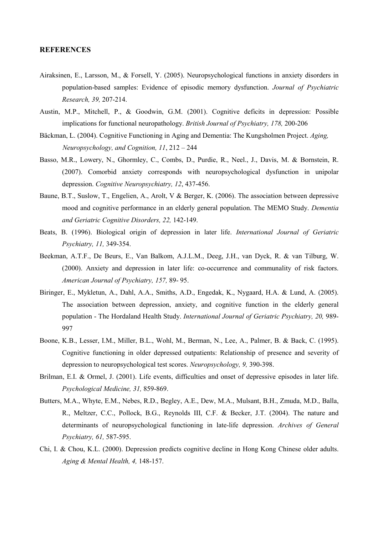# **REFERENCES**

- Airaksinen, E., Larsson, M., & Forsell, Y. (2005). Neuropsychological functions in anxiety disorders in population-based samples: Evidence of episodic memory dysfunction. Journal of Psychiatric Research, 39, 207-214.
- Austin, M.P., Mitchell, P., & Goodwin, G.M. (2001). Cognitive deficits in depression: Possible implications for functional neuropathology. British Journal of Psychiatry, 178, 200-206
- Bäckman, L. (2004). Cognitive Functioning in Aging and Dementia: The Kungsholmen Project. Aging, Neuropsychology, and Cognition, 11, 212 – 244
- Basso, M.R., Lowery, N., Ghormley, C., Combs, D., Purdie, R., Neel., J., Davis, M. & Bornstein, R. (2007). Comorbid anxiety corresponds with neuropsychological dysfunction in unipolar depression. Cognitive Neuropsychiatry, 12, 437-456.
- Baune, B.T., Suslow, T., Engelien, A., Arolt, V & Berger, K. (2006). The association between depressive mood and cognitive performance in an elderly general population. The MEMO Study. Dementia and Geriatric Cognitive Disorders, 22, 142-149.
- Beats, B. (1996). Biological origin of depression in later life. International Journal of Geriatric Psychiatry, 11, 349-354.
- Beekman, A.T.F., De Beurs, E., Van Balkom, A.J.L.M., Deeg, J.H., van Dyck, R. & van Tilburg, W. (2000). Anxiety and depression in later life: co-occurrence and communality of risk factors. American Journal of Psychiatry, 157, 89- 95.
- Biringer, E., Mykletun, A., Dahl, A.A., Smiths, A.D., Engedak, K., Nygaard, H.A. & Lund, A. (2005). The association between depression, anxiety, and cognitive function in the elderly general population - The Hordaland Health Study. International Journal of Geriatric Psychiatry, 20, 989- 997
- Boone, K.B., Lesser, I.M., Miller, B.L., Wohl, M., Berman, N., Lee, A., Palmer, B. & Back, C. (1995). Cognitive functioning in older depressed outpatients: Relationship of presence and severity of depression to neuropsychological test scores. Neuropsychology, 9, 390-398.
- Brilman, E.I. & Ormel, J. (2001). Life events, difficulties and onset of depressive episodes in later life. Psychological Medicine, 31, 859-869.
- Butters, M.A., Whyte, E.M., Nebes, R.D., Begley, A.E., Dew, M.A., Mulsant, B.H., Zmuda, M.D., Balla, R., Meltzer, C.C., Pollock, B.G., Reynolds III, C.F. & Becker, J.T. (2004). The nature and determinants of neuropsychological functioning in late-life depression. Archives of General Psychiatry, 61, 587-595.
- Chi, I. & Chou, K.L. (2000). Depression predicts cognitive decline in Hong Kong Chinese older adults. Aging & Mental Health, 4, 148-157.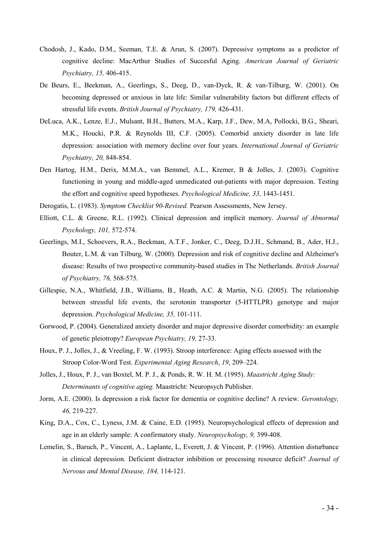- Chodosh, J., Kado, D.M., Seeman, T.E. & Arun, S. (2007). Depressive symptoms as a predictor of cognitive decline: MacArthur Studies of Succesful Aging. American Journal of Geriatric Psychiatry, 15, 406-415.
- De Beurs, E., Beekman, A., Geerlings, S., Deeg, D., van-Dyck, R. & van-Tilburg, W. (2001). On becoming depressed or anxious in late life: Similar vulnerability factors but different effects of stressful life events. British Journal of Psychiatry, 179, 426-431.
- DeLuca, A.K., Lenze, E.J., Mulsant, B.H., Butters, M.A., Karp, J.F., Dew, M.A, Pollocki, B.G., Sheari, M.K., Houcki, P.R. & Reynolds III, C.F. (2005). Comorbid anxiety disorder in late life depression: association with memory decline over four years. International Journal of Geriatric Psychiatry, 20, 848-854.
- Den Hartog, H.M., Derix, M.M.A., van Bemmel, A.L., Kremer, B & Jolles, J. (2003). Cognitive functioning in young and middle-aged unmedicated out-patients with major depression. Testing the effort and cognitive speed hypotheses. Psychological Medicine, 33, 1443-1451.
- Derogatis, L. (1983). Symptom Checklist 90-Revised. Pearson Assessments, New Jersey.
- Elliott, C.L. & Greene, R.L. (1992). Clinical depression and implicit memory. Journal of Abnormal Psychology, 101, 572-574.
- Geerlings, M.I., Schoevers, R.A., Beekman, A.T.F., Jonker, C., Deeg, D.J.H., Schmand, B., Ader, H.J., Bouter, L.M. & van Tilburg, W. (2000). Depression and risk of cognitive decline and Alzheimer's disease: Results of two prospective community-based studies in The Netherlands. British Journal of Psychiatry, 76, 568-575.
- Gillespie, N.A., Whitfield, J.B., Williams, B., Heath, A.C. & Martin, N.G. (2005). The relationship between stressful life events, the serotonin transporter (5-HTTLPR) genotype and major depression. Psychological Medicine, 35, 101-111.
- Gorwood, P. (2004). Generalized anxiety disorder and major depressive disorder comorbidity: an example of genetic pleiotropy? European Psychiatry, 19, 27-33.
- Houx, P. J., Jolles, J., & Vreeling, F. W. (1993). Stroop interference: Aging effects assessed with the Stroop Color-Word Test. Experimental Aging Research, 19, 209–224.
- Jolles, J., Houx, P. J., van Boxtel, M. P. J., & Ponds, R. W. H. M. (1995). Maastricht Aging Study: Determinants of cognitive aging. Maastricht: Neuropsych Publisher.
- Jorm, A.E. (2000). Is depression a risk factor for dementia or cognitive decline? A review. Gerontology, 46, 219-227.
- King, D.A., Cox, C., Lyness, J.M. & Caine, E.D. (1995). Neuropsychological effects of depression and age in an elderly sample: A confirmatory study. Neuropsychology, 9, 399-408.
- Lemelin, S., Baruch, P., Vincent, A., Laplante, L, Everett, J. & Vincent, P. (1996). Attention disturbance in clinical depression. Deficient distractor inhibition or processing resource deficit? Journal of Nervous and Mental Disease, 184, 114-121.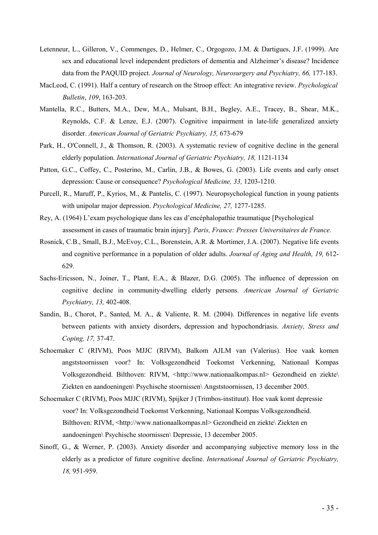- Letenneur, L., Gilleron, V., Commenges, D., Helmer, C., Orgogozo, J.M. & Dartigues, J.F. (1999). Are sex and educational level independent predictors of dementia and Alzheimer's disease? Incidence data from the PAQUID project. Journal of Neurology, Neurosurgery and Psychiatry, 66, 177-183.
- MacLeod, C. (1991). Half a century of research on the Stroop effect: An integrative review. Psychological Bulletin, 109, 163-203.
- Mantella, R.C., Butters, M.A., Dew, M.A., Mulsant, B.H., Begley, A.E., Tracey, B., Shear, M.K., Reynolds, C.F. & Lenze, E.J. (2007). Cognitive impairment in late-life generalized anxiety disorder. American Journal of Geriatric Psychiatry, 15, 673-679
- Park, H., O'Connell, J., & Thomson, R. (2003). A systematic review of cognitive decline in the general elderly population. International Journal of Geriatric Psychiatry, 18, 1121-1134
- Patton, G.C., Coffey, C., Posterino, M., Carlin, J.B., & Bowes, G. (2003). Life events and early onset depression: Cause or consequence? Psychological Medicine, 33, 1203-1210.
- Purcell, R., Maruff, P., Kyrios, M., & Pantelis, C. (1997). Neuropsychological function in young patients with unipolar major depression. *Psychological Medicine*, 27, 1277-1285.
- Rey, A. (1964) L'exam psychologique dans les cas d'encéphalopathie traumatique [Psychological assessment in cases of traumatic brain injury]. Paris, France: Presses Universitaires de France.
- Rosnick, C.B., Small, B.J., McEvoy, C.L., Borenstein, A.R. & Mortimer, J.A. (2007). Negative life events and cognitive performance in a population of older adults. Journal of Aging and Health, 19, 612- 629.
- Sachs-Ericsson, N., Joiner, T., Plant, E.A., & Blazer, D.G. (2005). The influence of depression on cognitive decline in community-dwelling elderly persons. American Journal of Geriatric Psychiatry, 13, 402-408.
- Sandin, B., Chorot, P., Santed, M. A., & Valiente, R. M. (2004). Differences in negative life events between patients with anxiety disorders, depression and hypochondriasis. Anxiety, Stress and Coping, 17, 37-47.
- Schoemaker C (RIVM), Poos MJJC (RIVM), Balkom AJLM van (Valerius). Hoe vaak komen angststoornissen voor? In: Volksgezondheid Toekomst Verkenning, Nationaal Kompas Volksgezondheid. Bilthoven: RIVM, <http://www.nationaalkompas.nl> Gezondheid en ziekte\ Ziekten en aandoeningen\ Psychische stoornissen\ Angststoornissen, 13 december 2005.
- Schoemaker C (RIVM), Poos MJJC (RIVM), Spijker J (Trimbos-instituut). Hoe vaak komt depressie voor? In: Volksgezondheid Toekomst Verkenning, Nationaal Kompas Volksgezondheid. Bilthoven: RIVM, <http://www.nationaalkompas.nl> Gezondheid en ziekte\ Ziekten en aandoeningen\ Psychische stoornissen\ Depressie, 13 december 2005.
- Sinoff, G., & Werner, P. (2003). Anxiety disorder and accompanying subjective memory loss in the elderly as a predictor of future cognitive decline. International Journal of Geriatric Psychiatry, 18, 951-959.